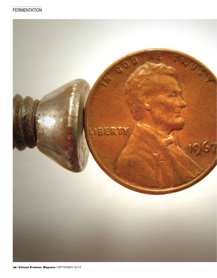

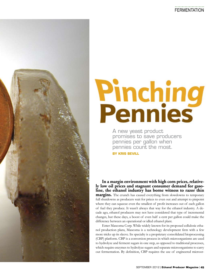

# **Pinching<br>Pennies**

A new yeast product promises to save producers pennies per gallon when pennies count the most.

**By Kris Bevill**

**In a margin environment with high corn prices, relative- ly low oil prices and stagnant consumer demand for gaso- line, the ethanol industry has borne witness to razor thin margins.** The crunch has caused everything from slowdowns to temporary full shutdowns as producers wait for prices to even out and attempt to pinpoint where they can squeeze even the smallest of profit increases out of each gallon of fuel they produce. It wasn't always that way for the ethanol industry. A decade ago, ethanol producers may not have considered that type of incremental changes, but these days, a boost of even half a cent per gallon could make the difference between an operational or idled ethanol plant.

Enter Mascoma Corp. While widely known for its proposed cellulosic ethanol production plans, Mascoma is a technology development firm with a few more tricks up its sleeve. Its specialty is a proprietary consolidated bioprocessing (CBP) platform. CBP is a conversion process in which microorganisms are used to hydrolyze and ferment sugars in one step, as opposed to traditional processes, which require enzymes to hydrolyze sugars and separate microorganisms to carry out fermentation. By definition, CBP requires the use of engineered microor-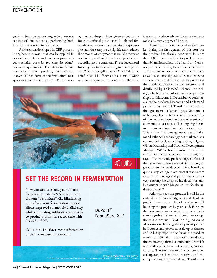## **FERMENTATION**

ganisms because natural organisms are not capable of simultaneously performing both functions, according to Mascoma.

As Mascoma developed its CBP process, it engineered a yeast that can be applied in corn ethanol plants and has been proven to cut operating costs by reducing the plant's enzyme requirements. The Mascoma Grain Technology yeast product, commercially known as TransFerm, is the first commercial application of the company's CBP technology and is a drop-in, bioengineered substitute for conventional yeasts used in ethanol fermentation. Because the yeast itself expresses glucoamylase enzymes, it significantly reduces the amount of enzymes that would otherwise need to be purchased for ethanol production, according to the company. The reduced need for enzymes translates to a gross savings of 1 to 2 cents per gallon, says David Arkowitz, chief financial officer at Mascoma. "We're replacing a significant amount of dollars that



# **SET THE RECORD IN FERMENTATION**

*The DuPont Oval Logo and Dupont™ are trademarks or registered trade.* 

Now you can accelerate your ethanol fermentation rate by 5% or more with DuPont™ FermaSure® XL. Eliminating hours from your fermentation process allows improved ethanol yield efficiency while eliminating antibiotic concerns in co-products. Finish in record time with FermaSure® XL.

Call 1-800-477-6071 more information or visit FermaSure.dupont.com

DuPont™ FermaSure XL®

*copyright © 2012 DuPont. All rights reserved.* 

it costs to produce ethanol because the yeast makes its own enzymes," he says.

TransFerm was introduced to the market during the first quarter of this year but the product has already been used in more than 1,000 fermentations to produce more than 90 million gallons of ethanol at 15 ethanol plants, according to Mascoma estimates. That total includes six commercial customers as well as additional potential customers who are conducting trial runs to test the product at their facilities. The yeast is manufactured and distributed by Lallemand Ethanol Technology, which entered into a multiyear partnership with Mascoma in December to commercialize the product. Mascoma and Lallemand jointly market and sell TransFerm. As part of the agreement, Lallemand pays Mascoma a technology license fee and receives a portion of the net sales based on the market price of conventional yeast, as well as ongoing incentive payments based on sales performance. This is the first bioengineered yeast Lallemand Ethanol Technology has marketed at a commercial level, according to Craig Pilgrim, Global Marketing and Product Development Manager. "We've been involved in a lot of small incremental changes in the past," he says. "You can only push biology so far and then you have to take the next step. For us, it's great to see this product out there. It really is quite a step-change from what it was before in terms of savings and performance, so it's very exciting for us to be involved, not only in partnership with Mascoma, but for the industry overall."

Arkowitz says the product is still in the early days of availability, so it's difficult to predict how many ethanol producers will be using the product by years end. For now, the companies are content to grow sales in a manageable fashion and continue to optimize the product. ICM Inc. signed on as Mascoma's technology development partner in October and provided scale-up assistance and industry expertise to bring the product to market. Now that it has been introduced, the engineering firm is continuing to run lab tests and conduct other related work, Arkowitz says. The first few months of commercial operations have been positive, and the companies are very pleased with TransFerm's